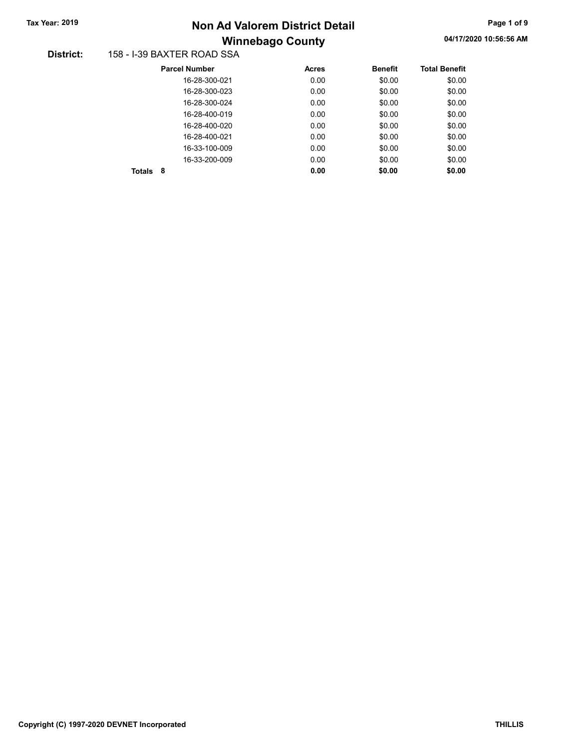# Winnebago County Tax Year: 2019 **Non Ad Valorem District Detail** Tax Year: 2019 **Page 1 of 9** 2010

#### District: 158 - I-39 BAXTER ROAD SSA

|        | <b>Parcel Number</b> | Acres | <b>Benefit</b> | <b>Total Benefit</b> |
|--------|----------------------|-------|----------------|----------------------|
|        | 16-28-300-021        | 0.00  | \$0.00         | \$0.00               |
|        | 16-28-300-023        | 0.00  | \$0.00         | \$0.00               |
|        | 16-28-300-024        | 0.00  | \$0.00         | \$0.00               |
|        | 16-28-400-019        | 0.00  | \$0.00         | \$0.00               |
|        | 16-28-400-020        | 0.00  | \$0.00         | \$0.00               |
|        | 16-28-400-021        | 0.00  | \$0.00         | \$0.00               |
|        | 16-33-100-009        | 0.00  | \$0.00         | \$0.00               |
|        | 16-33-200-009        | 0.00  | \$0.00         | \$0.00               |
| Totals | 8                    | 0.00  | \$0.00         | \$0.00               |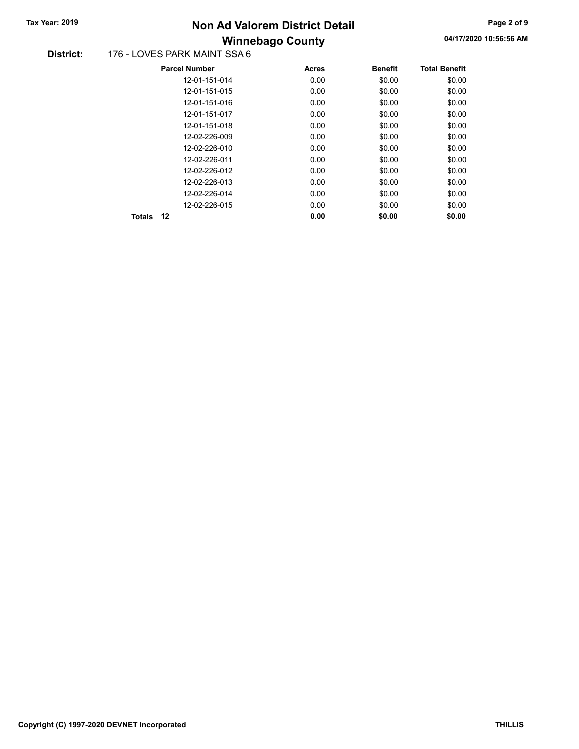### Winnebago County Tax Year: 2019 **Non Ad Valorem District Detail** Tax Year: 2019 **Page 2 of 9** 2019

#### District: 176 - LOVES PARK MAINT SSA 6

| <b>Parcel Number</b> | <b>Acres</b> | <b>Benefit</b> | <b>Total Benefit</b> |
|----------------------|--------------|----------------|----------------------|
| 12-01-151-014        | 0.00         | \$0.00         | \$0.00               |
| 12-01-151-015        | 0.00         | \$0.00         | \$0.00               |
| 12-01-151-016        | 0.00         | \$0.00         | \$0.00               |
| 12-01-151-017        | 0.00         | \$0.00         | \$0.00               |
| 12-01-151-018        | 0.00         | \$0.00         | \$0.00               |
| 12-02-226-009        | 0.00         | \$0.00         | \$0.00               |
| 12-02-226-010        | 0.00         | \$0.00         | \$0.00               |
| 12-02-226-011        | 0.00         | \$0.00         | \$0.00               |
| 12-02-226-012        | 0.00         | \$0.00         | \$0.00               |
| 12-02-226-013        | 0.00         | \$0.00         | \$0.00               |
| 12-02-226-014        | 0.00         | \$0.00         | \$0.00               |
| 12-02-226-015        | 0.00         | \$0.00         | \$0.00               |
| 12<br><b>Totals</b>  | 0.00         | \$0.00         | \$0.00               |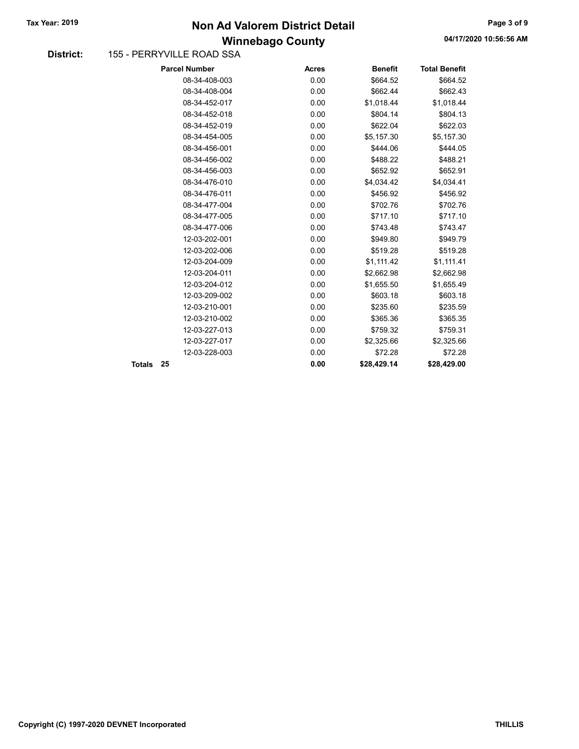### Winnebago County Tax Year: 2019 **Non Ad Valorem District Detail** Tax Year: 2019 **Page 3 of 9** 2019

#### District: 155 - PERRYVILLE ROAD SSA

|        | <b>Parcel Number</b> | <b>Acres</b> | <b>Benefit</b> | <b>Total Benefit</b> |
|--------|----------------------|--------------|----------------|----------------------|
|        | 08-34-408-003        | 0.00         | \$664.52       | \$664.52             |
|        | 08-34-408-004        | 0.00         | \$662.44       | \$662.43             |
|        | 08-34-452-017        | 0.00         | \$1,018.44     | \$1,018.44           |
|        | 08-34-452-018        | 0.00         | \$804.14       | \$804.13             |
|        | 08-34-452-019        | 0.00         | \$622.04       | \$622.03             |
|        | 08-34-454-005        | 0.00         | \$5,157.30     | \$5,157.30           |
|        | 08-34-456-001        | 0.00         | \$444.06       | \$444.05             |
|        | 08-34-456-002        | 0.00         | \$488.22       | \$488.21             |
|        | 08-34-456-003        | 0.00         | \$652.92       | \$652.91             |
|        | 08-34-476-010        | 0.00         | \$4,034.42     | \$4,034.41           |
|        | 08-34-476-011        | 0.00         | \$456.92       | \$456.92             |
|        | 08-34-477-004        | 0.00         | \$702.76       | \$702.76             |
|        | 08-34-477-005        | 0.00         | \$717.10       | \$717.10             |
|        | 08-34-477-006        | 0.00         | \$743.48       | \$743.47             |
|        | 12-03-202-001        | 0.00         | \$949.80       | \$949.79             |
|        | 12-03-202-006        | 0.00         | \$519.28       | \$519.28             |
|        | 12-03-204-009        | 0.00         | \$1,111.42     | \$1,111.41           |
|        | 12-03-204-011        | 0.00         | \$2,662.98     | \$2,662.98           |
|        | 12-03-204-012        | 0.00         | \$1,655.50     | \$1,655.49           |
|        | 12-03-209-002        | 0.00         | \$603.18       | \$603.18             |
|        | 12-03-210-001        | 0.00         | \$235.60       | \$235.59             |
|        | 12-03-210-002        | 0.00         | \$365.36       | \$365.35             |
|        | 12-03-227-013        | 0.00         | \$759.32       | \$759.31             |
|        | 12-03-227-017        | 0.00         | \$2,325.66     | \$2,325.66           |
|        | 12-03-228-003        | 0.00         | \$72.28        | \$72.28              |
| Totals | 25                   | 0.00         | \$28,429.14    | \$28,429.00          |
|        |                      |              |                |                      |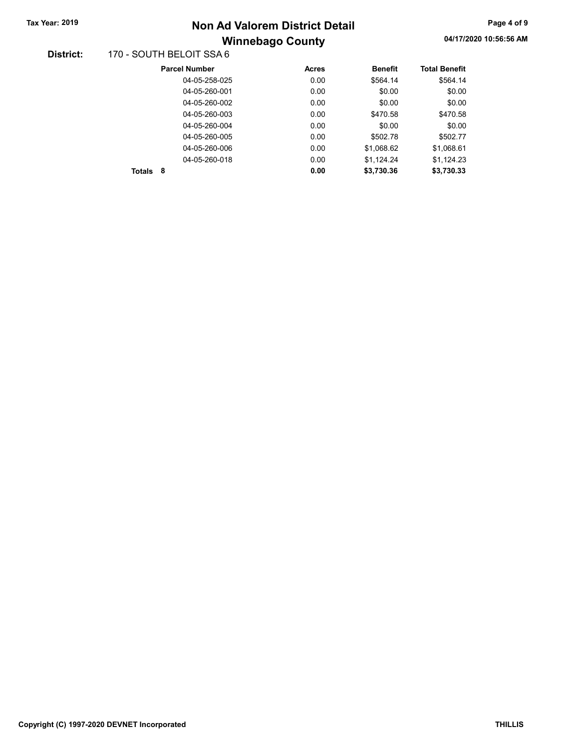# Winnebago County Tax Year: 2019 **Non Ad Valorem District Detail** Tax Year: 2019 **Page 4 of 9** 2010

### 04/17/2020 10:56:56 AM

#### District: 170 - SOUTH BELOIT SSA 6

|               | <b>Parcel Number</b> | <b>Acres</b> | <b>Benefit</b> | <b>Total Benefit</b> |
|---------------|----------------------|--------------|----------------|----------------------|
|               | 04-05-258-025        | 0.00         | \$564.14       | \$564.14             |
|               | 04-05-260-001        | 0.00         | \$0.00         | \$0.00               |
|               | 04-05-260-002        | 0.00         | \$0.00         | \$0.00               |
|               | 04-05-260-003        | 0.00         | \$470.58       | \$470.58             |
|               | 04-05-260-004        | 0.00         | \$0.00         | \$0.00               |
|               | 04-05-260-005        | 0.00         | \$502.78       | \$502.77             |
|               | 04-05-260-006        | 0.00         | \$1.068.62     | \$1,068.61           |
|               | 04-05-260-018        | 0.00         | \$1,124.24     | \$1,124.23           |
| <b>Totals</b> | 8                    | 0.00         | \$3.730.36     | \$3.730.33           |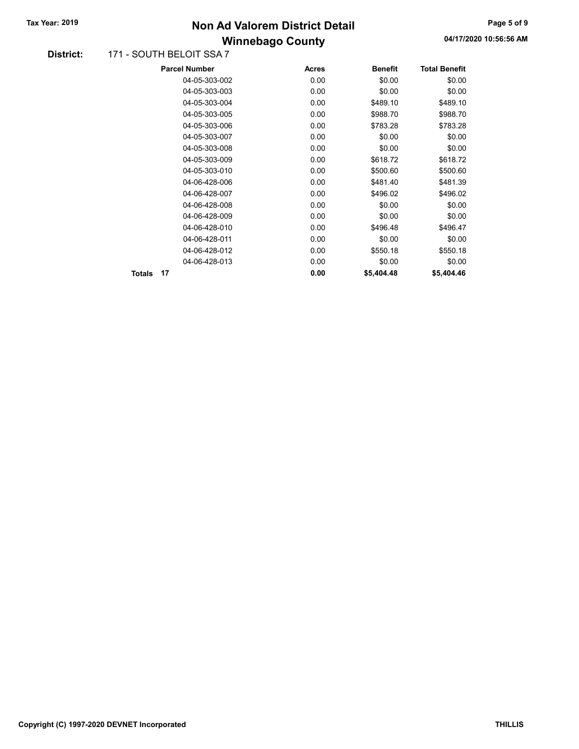### Winnebago County Tax Year: 2019 **Non Ad Valorem District Detail** Tax Year: 2019 **Page 5 of 9** 2010

#### District: 171 - SOUTH BELOIT SSA 7

|        |    | <b>Parcel Number</b> | <b>Acres</b> | <b>Benefit</b> | <b>Total Benefit</b> |
|--------|----|----------------------|--------------|----------------|----------------------|
|        |    | 04-05-303-002        | 0.00         | \$0.00         | \$0.00               |
|        |    | 04-05-303-003        | 0.00         | \$0.00         | \$0.00               |
|        |    | 04-05-303-004        | 0.00         | \$489.10       | \$489.10             |
|        |    | 04-05-303-005        | 0.00         | \$988.70       | \$988.70             |
|        |    | 04-05-303-006        | 0.00         | \$783.28       | \$783.28             |
|        |    | 04-05-303-007        | 0.00         | \$0.00         | \$0.00               |
|        |    | 04-05-303-008        | 0.00         | \$0.00         | \$0.00               |
|        |    | 04-05-303-009        | 0.00         | \$618.72       | \$618.72             |
|        |    | 04-05-303-010        | 0.00         | \$500.60       | \$500.60             |
|        |    | 04-06-428-006        | 0.00         | \$481.40       | \$481.39             |
|        |    | 04-06-428-007        | 0.00         | \$496.02       | \$496.02             |
|        |    | 04-06-428-008        | 0.00         | \$0.00         | \$0.00               |
|        |    | 04-06-428-009        | 0.00         | \$0.00         | \$0.00               |
|        |    | 04-06-428-010        | 0.00         | \$496.48       | \$496.47             |
|        |    | 04-06-428-011        | 0.00         | \$0.00         | \$0.00               |
|        |    | 04-06-428-012        | 0.00         | \$550.18       | \$550.18             |
|        |    | 04-06-428-013        | 0.00         | \$0.00         | \$0.00               |
| Totals | 17 |                      | 0.00         | \$5,404.48     | \$5,404.46           |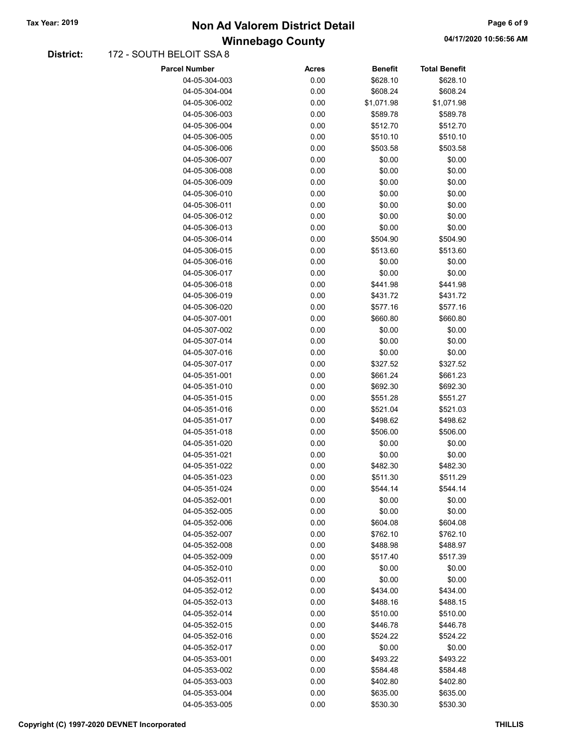### Winnebago County Tax Year: 2019 **Non Ad Valorem District Detail** Tax Year: 2019 **Page 6 of 9** 2010

#### District: 172 - SOUTH BELOIT SSA 8

| <b>Parcel Number</b>           | <b>Acres</b> | <b>Benefit</b>     | <b>Total Benefit</b> |
|--------------------------------|--------------|--------------------|----------------------|
| 04-05-304-003                  | 0.00         | \$628.10           | \$628.10             |
| 04-05-304-004                  | 0.00         | \$608.24           | \$608.24             |
| 04-05-306-002                  | 0.00         | \$1,071.98         | \$1,071.98           |
| 04-05-306-003                  | 0.00         | \$589.78           | \$589.78             |
| 04-05-306-004                  | 0.00         | \$512.70           | \$512.70             |
| 04-05-306-005                  | 0.00         | \$510.10           | \$510.10             |
| 04-05-306-006                  | 0.00         | \$503.58           | \$503.58             |
| 04-05-306-007                  | 0.00         | \$0.00             | \$0.00               |
| 04-05-306-008                  | 0.00         | \$0.00             | \$0.00               |
| 04-05-306-009                  | 0.00         | \$0.00             | \$0.00               |
| 04-05-306-010                  | 0.00         | \$0.00             | \$0.00               |
| 04-05-306-011                  | 0.00         | \$0.00             | \$0.00               |
| 04-05-306-012                  | 0.00         | \$0.00             | \$0.00               |
| 04-05-306-013                  | 0.00         | \$0.00             | \$0.00               |
| 04-05-306-014                  | 0.00         | \$504.90           | \$504.90             |
| 04-05-306-015                  | 0.00         | \$513.60           | \$513.60             |
| 04-05-306-016                  | 0.00         | \$0.00             | \$0.00               |
| 04-05-306-017                  | 0.00         | \$0.00             | \$0.00               |
| 04-05-306-018                  | 0.00         | \$441.98           | \$441.98             |
| 04-05-306-019                  | 0.00         | \$431.72           | \$431.72             |
| 04-05-306-020                  | 0.00         | \$577.16           | \$577.16             |
| 04-05-307-001                  | 0.00         | \$660.80           | \$660.80             |
| 04-05-307-002                  | 0.00         | \$0.00             | \$0.00               |
| 04-05-307-014                  | 0.00         | \$0.00             | \$0.00               |
| 04-05-307-016                  | 0.00         | \$0.00             | \$0.00               |
| 04-05-307-017                  | 0.00         | \$327.52           | \$327.52             |
| 04-05-351-001                  | 0.00         | \$661.24           | \$661.23             |
| 04-05-351-010                  | 0.00         | \$692.30           | \$692.30             |
| 04-05-351-015                  | 0.00         | \$551.28           | \$551.27             |
| 04-05-351-016                  | 0.00         | \$521.04           | \$521.03             |
| 04-05-351-017                  | 0.00         | \$498.62           | \$498.62             |
| 04-05-351-018                  | 0.00         | \$506.00           | \$506.00             |
| 04-05-351-020                  | 0.00         | \$0.00             | \$0.00               |
| 04-05-351-021                  | 0.00         | \$0.00             | \$0.00               |
| 04-05-351-022                  | 0.00         | \$482.30           | \$482.30             |
| 04-05-351-023                  | 0.00         | \$511.30           | \$511.29             |
| 04-05-351-024                  | 0.00         | \$544.14           | \$544.14             |
| 04-05-352-001                  | 0.00         | \$0.00             | \$0.00               |
| 04-05-352-005                  | 0.00         | \$0.00             | \$0.00               |
| 04-05-352-006                  | 0.00         | \$604.08           | \$604.08             |
| 04-05-352-007                  | 0.00         | \$762.10           | \$762.10             |
| 04-05-352-008                  | 0.00         | \$488.98           | \$488.97             |
| 04-05-352-009                  | 0.00         | \$517.40           | \$517.39             |
| 04-05-352-010                  | 0.00         | \$0.00             | \$0.00               |
| 04-05-352-011<br>04-05-352-012 | 0.00<br>0.00 | \$0.00<br>\$434.00 | \$0.00<br>\$434.00   |
| 04-05-352-013                  | 0.00         | \$488.16           | \$488.15             |
| 04-05-352-014                  | 0.00         | \$510.00           | \$510.00             |
| 04-05-352-015                  | 0.00         | \$446.78           | \$446.78             |
| 04-05-352-016                  | 0.00         | \$524.22           | \$524.22             |
| 04-05-352-017                  | 0.00         | \$0.00             | \$0.00               |
| 04-05-353-001                  | 0.00         | \$493.22           | \$493.22             |
| 04-05-353-002                  | 0.00         | \$584.48           | \$584.48             |
| 04-05-353-003                  | 0.00         | \$402.80           | \$402.80             |
| 04-05-353-004                  | 0.00         | \$635.00           | \$635.00             |
| 04-05-353-005                  | 0.00         | \$530.30           | \$530.30             |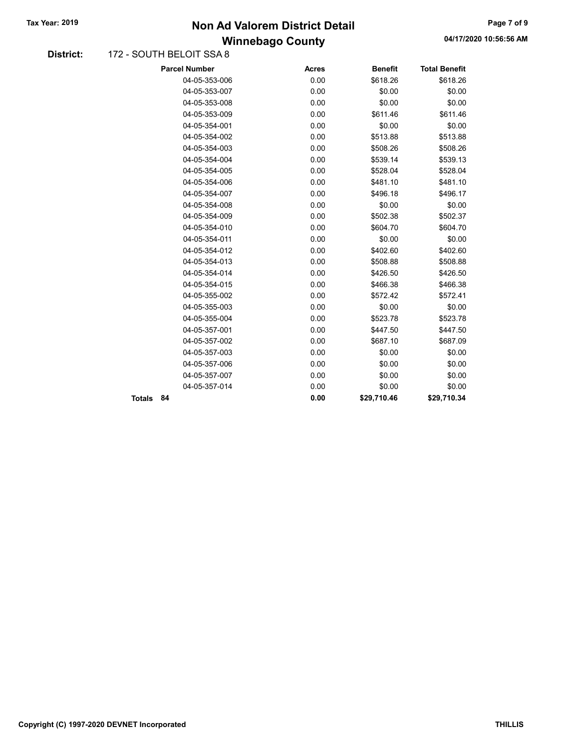### Winnebago County Tax Year: 2019 **Non Ad Valorem District Detail** Tax Year: 2019 **Page 7 of 9** 2019

04/17/2020 10:56:56 AM

#### District: 172 - SOUTH BELOIT SSA 8

|        | <b>Parcel Number</b> | <b>Acres</b> | <b>Benefit</b> | <b>Total Benefit</b> |
|--------|----------------------|--------------|----------------|----------------------|
|        | 04-05-353-006        | 0.00         | \$618.26       | \$618.26             |
|        | 04-05-353-007        | 0.00         | \$0.00         | \$0.00               |
|        | 04-05-353-008        | 0.00         | \$0.00         | \$0.00               |
|        | 04-05-353-009        | 0.00         | \$611.46       | \$611.46             |
|        | 04-05-354-001        | 0.00         | \$0.00         | \$0.00               |
|        | 04-05-354-002        | 0.00         | \$513.88       | \$513.88             |
|        | 04-05-354-003        | 0.00         | \$508.26       | \$508.26             |
|        | 04-05-354-004        | 0.00         | \$539.14       | \$539.13             |
|        | 04-05-354-005        | 0.00         | \$528.04       | \$528.04             |
|        | 04-05-354-006        | 0.00         | \$481.10       | \$481.10             |
|        | 04-05-354-007        | 0.00         | \$496.18       | \$496.17             |
|        | 04-05-354-008        | 0.00         | \$0.00         | \$0.00               |
|        | 04-05-354-009        | 0.00         | \$502.38       | \$502.37             |
|        | 04-05-354-010        | 0.00         | \$604.70       | \$604.70             |
|        | 04-05-354-011        | 0.00         | \$0.00         | \$0.00               |
|        | 04-05-354-012        | 0.00         | \$402.60       | \$402.60             |
|        | 04-05-354-013        | 0.00         | \$508.88       | \$508.88             |
|        | 04-05-354-014        | 0.00         | \$426.50       | \$426.50             |
|        | 04-05-354-015        | 0.00         | \$466.38       | \$466.38             |
|        | 04-05-355-002        | 0.00         | \$572.42       | \$572.41             |
|        | 04-05-355-003        | 0.00         | \$0.00         | \$0.00               |
|        | 04-05-355-004        | 0.00         | \$523.78       | \$523.78             |
|        | 04-05-357-001        | 0.00         | \$447.50       | \$447.50             |
|        | 04-05-357-002        | 0.00         | \$687.10       | \$687.09             |
|        | 04-05-357-003        | 0.00         | \$0.00         | \$0.00               |
|        | 04-05-357-006        | 0.00         | \$0.00         | \$0.00               |
|        | 04-05-357-007        | 0.00         | \$0.00         | \$0.00               |
|        | 04-05-357-014        | 0.00         | \$0.00         | \$0.00               |
| Totals | 84                   | 0.00         | \$29,710.46    | \$29,710.34          |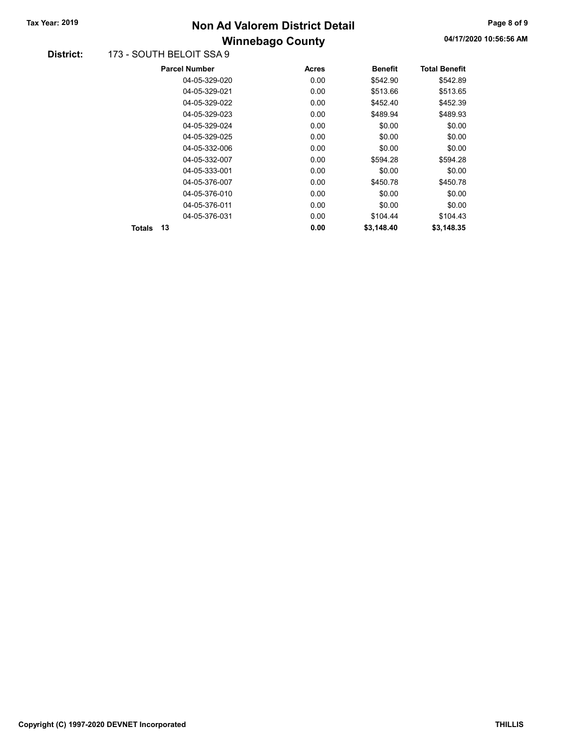## Winnebago County Tax Year: 2019 **Non Ad Valorem District Detail** Tax Year: 2019 **Page 8 of 9** 2019

#### District: 173 - SOUTH BELOIT SSA 9

|        | <b>Parcel Number</b> | <b>Acres</b> | <b>Benefit</b> | <b>Total Benefit</b> |
|--------|----------------------|--------------|----------------|----------------------|
|        | 04-05-329-020        | 0.00         | \$542.90       | \$542.89             |
|        | 04-05-329-021        | 0.00         | \$513.66       | \$513.65             |
|        | 04-05-329-022        | 0.00         | \$452.40       | \$452.39             |
|        | 04-05-329-023        | 0.00         | \$489.94       | \$489.93             |
|        | 04-05-329-024        | 0.00         | \$0.00         | \$0.00               |
|        | 04-05-329-025        | 0.00         | \$0.00         | \$0.00               |
|        | 04-05-332-006        | 0.00         | \$0.00         | \$0.00               |
|        | 04-05-332-007        | 0.00         | \$594.28       | \$594.28             |
|        | 04-05-333-001        | 0.00         | \$0.00         | \$0.00               |
|        | 04-05-376-007        | 0.00         | \$450.78       | \$450.78             |
|        | 04-05-376-010        | 0.00         | \$0.00         | \$0.00               |
|        | 04-05-376-011        | 0.00         | \$0.00         | \$0.00               |
|        | 04-05-376-031        | 0.00         | \$104.44       | \$104.43             |
| Totals | 13                   | 0.00         | \$3.148.40     | \$3.148.35           |